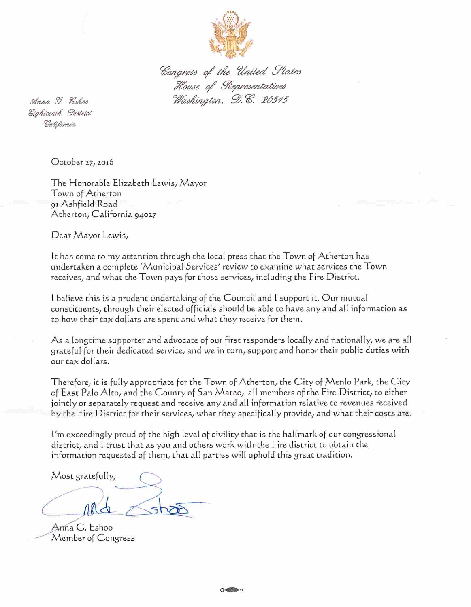

Congress of the United States<br>House of Representatives<br>Washington, D.C. 20515

Anna G. Eshoo Eighteenth District California

October 27, 2016

The Honorable Elizabeth Lewis/ Mayor Town of Atherton 91 Ashfield Road Atherton; California 94027

Dear Mayor Lewis;

It has come to my attention through the local press that the Town of Atherton has undertaken a complete ''Municipal Services'' review to examine what services the Town receives, and what the Town pays for those services, including the Fire District.

I believe this is a prudent undertaking of the Council and I support it. Our mutual constituents; through their elected officials should be able to have any and all information as to how their tax dollars are spent and what they receive for them.

As a longtime supporter and advocate of our first responders locally and nationally; we are ail grateful for their dedicated service; and we in turn; support and honor their public duties with our tax dollars.

Therefore; it is fully appropriate for the Town of Atherton; the City of Menio Park; the City of East Palo Alto, and the County of San Mateo, all members of the Fire District, to either jointly or separately request and receive any and all information relative to revenues received by the Fire District for their services; what they specifically provide; and what their costs are,

 $l'm$  exceedingly proud of the high level of civility that is the hallmark of our congressional district; and I trust that as you and others work with the Fire district to obtain the information requested of them; that all parties will uphold this great tradition.

Most gratefully,

Anna G. Eshoo Member of Congress